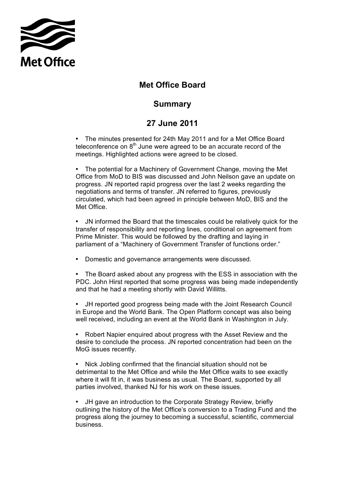

## **Met Office Board**

## **Summary**

## **27 June 2011**

 • The minutes presented for 24th May 2011 and for a Met Office Board teleconference on  $8<sup>th</sup>$  June were agreed to be an accurate record of the meetings. Highlighted actions were agreed to be closed.

 • The potential for a Machinery of Government Change, moving the Met Office from MoD to BIS was discussed and John Neilson gave an update on progress. JN reported rapid progress over the last 2 weeks regarding the negotiations and terms of transfer. JN referred to figures, previously circulated, which had been agreed in principle between MoD, BIS and the Met Office.

 transfer of responsibility and reporting lines, conditional on agreement from Prime Minister. This would be followed by the drafting and laying in parliament of a "Machinery of Government Transfer of functions order." • JN informed the Board that the timescales could be relatively quick for the

• Domestic and governance arrangements were discussed.

 • The Board asked about any progress with the ESS in association with the PDC. John Hirst reported that some progress was being made independently and that he had a meeting shortly with David Willitts.

 in Europe and the World Bank. The Open Platform concept was also being well received, including an event at the World Bank in Washington in July. • JH reported good progress being made with the Joint Research Council

 desire to conclude the process. JN reported concentration had been on the Robert Napier enquired about progress with the Asset Review and the MoG issues recently.

 detrimental to the Met Office and while the Met Office waits to see exactly where it will fit in, it was business as usual. The Board, supported by all parties involved, thanked NJ for his work on these issues. • Nick Jobling confirmed that the financial situation should not be

 • JH gave an introduction to the Corporate Strategy Review, briefly outlining the history of the Met Office's conversion to a Trading Fund and the progress along the journey to becoming a successful, scientific, commercial business.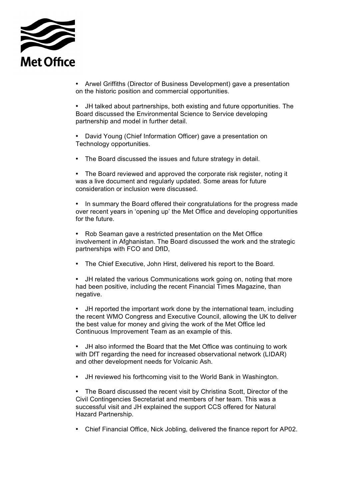

 • Arwel Griffiths (Director of Business Development) gave a presentation on the historic position and commercial opportunities.

 partnership and model in further detail. • JH talked about partnerships, both existing and future opportunities. The Board discussed the Environmental Science to Service developing

 • David Young (Chief Information Officer) gave a presentation on Technology opportunities.

• The Board discussed the issues and future strategy in detail.

 • The Board reviewed and approved the corporate risk register, noting it was a live document and regularly updated. Some areas for future consideration or inclusion were discussed.

 over recent years in 'opening up' the Met Office and developing opportunities • In summary the Board offered their congratulations for the progress made for the future.

 involvement in Afghanistan. The Board discussed the work and the strategic • Rob Seaman gave a restricted presentation on the Met Office partnerships with FCO and DfID,

• The Chief Executive, John Hirst, delivered his report to the Board.

 • JH related the various Communications work going on, noting that more had been positive, including the recent Financial Times Magazine, than negative.

• JH reported the important work done by the international team, including the recent WMO Congress and Executive Council, allowing the UK to deliver the best value for money and giving the work of the Met Office led Continuous Improvement Team as an example of this.

 • JH also informed the Board that the Met Office was continuing to work with DfT regarding the need for increased observational network (LIDAR) and other development needs for Volcanic Ash.

• JH reviewed his forthcoming visit to the World Bank in Washington.

 • The Board discussed the recent visit by Christina Scott, Director of the Civil Contingencies Secretariat and members of her team. This was a successful visit and JH explained the support CCS offered for Natural Hazard Partnership.

• Chief Financial Office, Nick Jobling, delivered the finance report for AP02.